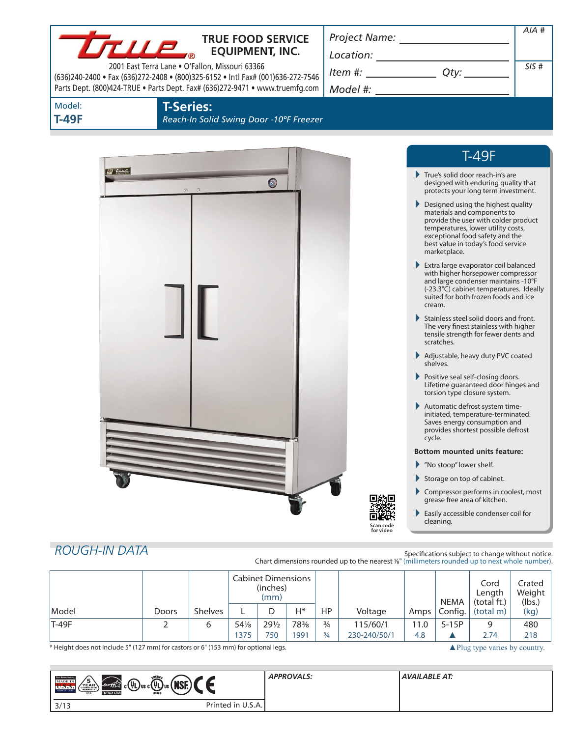| <b>LTLLP</b>                                                                                                                                                                                                       |       |                                                             |  | <b>TRUE FOOD SERVICE</b><br><b>EQUIPMENT, INC.</b> |                                      |           |                                                                                                |        |                        |                                                                                                                                                                                                                          | $AIA$ #                    |
|--------------------------------------------------------------------------------------------------------------------------------------------------------------------------------------------------------------------|-------|-------------------------------------------------------------|--|----------------------------------------------------|--------------------------------------|-----------|------------------------------------------------------------------------------------------------|--------|------------------------|--------------------------------------------------------------------------------------------------------------------------------------------------------------------------------------------------------------------------|----------------------------|
|                                                                                                                                                                                                                    |       |                                                             |  |                                                    |                                      |           |                                                                                                |        |                        |                                                                                                                                                                                                                          | SIS#                       |
| 2001 East Terra Lane . O'Fallon, Missouri 63366<br>(636)240-2400 · Fax (636)272-2408 · (800)325-6152 · Intl Fax# (001)636-272-7546<br>Parts Dept. (800)424-TRUE . Parts Dept. Fax# (636)272-9471 . www.truemfg.com |       |                                                             |  |                                                    | $Item #: __________ Qty: __________$ |           |                                                                                                |        |                        |                                                                                                                                                                                                                          |                            |
|                                                                                                                                                                                                                    |       |                                                             |  |                                                    |                                      |           |                                                                                                |        |                        |                                                                                                                                                                                                                          |                            |
| Model:<br><b>T-49F</b>                                                                                                                                                                                             |       | <b>T-Series:</b><br>Reach-In Solid Swing Door -10°F Freezer |  |                                                    |                                      |           |                                                                                                |        |                        |                                                                                                                                                                                                                          |                            |
|                                                                                                                                                                                                                    |       |                                                             |  |                                                    |                                      |           |                                                                                                |        |                        | <b>T-49F</b>                                                                                                                                                                                                             |                            |
| of true                                                                                                                                                                                                            |       |                                                             |  | 0                                                  |                                      |           |                                                                                                |        |                        | True's solid door reach-in's are<br>designed with enduring quality that<br>protects your long term investment.                                                                                                           |                            |
|                                                                                                                                                                                                                    |       |                                                             |  |                                                    |                                      |           |                                                                                                |        | marketplace.           | Designed using the highest quality<br>materials and components to<br>provide the user with colder product<br>temperatures, lower utility costs,<br>exceptional food safety and the<br>best value in today's food service |                            |
|                                                                                                                                                                                                                    |       |                                                             |  |                                                    |                                      |           |                                                                                                |        | cream.                 | Extra large evaporator coil balanced<br>with higher horsepower compressor<br>and large condenser maintains -10°F<br>(-23.3°C) cabinet temperatures. Ideally<br>suited for both frozen foods and ice                      |                            |
|                                                                                                                                                                                                                    |       |                                                             |  |                                                    |                                      |           |                                                                                                |        | scratches.             | Stainless steel solid doors and front.<br>The very finest stainless with higher<br>tensile strength for fewer dents and                                                                                                  |                            |
|                                                                                                                                                                                                                    |       |                                                             |  |                                                    |                                      |           |                                                                                                |        | shelves.               | Adjustable, heavy duty PVC coated                                                                                                                                                                                        |                            |
|                                                                                                                                                                                                                    |       |                                                             |  |                                                    |                                      |           |                                                                                                |        |                        | Positive seal self-closing doors.<br>Lifetime guaranteed door hinges and<br>torsion type closure system.                                                                                                                 |                            |
|                                                                                                                                                                                                                    |       |                                                             |  |                                                    |                                      |           |                                                                                                | cycle. |                        | Automatic defrost system time-<br>initiated, temperature-terminated.<br>Saves energy consumption and<br>provides shortest possible defrost                                                                               |                            |
|                                                                                                                                                                                                                    |       |                                                             |  |                                                    |                                      |           |                                                                                                |        |                        | <b>Bottom mounted units feature:</b>                                                                                                                                                                                     |                            |
|                                                                                                                                                                                                                    |       |                                                             |  |                                                    |                                      |           |                                                                                                |        | Mo stoop" lower shelf. |                                                                                                                                                                                                                          |                            |
|                                                                                                                                                                                                                    |       |                                                             |  |                                                    |                                      |           |                                                                                                | ▶      |                        | Storage on top of cabinet.<br>Compressor performs in coolest, most                                                                                                                                                       |                            |
|                                                                                                                                                                                                                    |       |                                                             |  |                                                    |                                      |           | Scan code<br>for video                                                                         |        | cleaning.              | grease free area of kitchen.<br>Easily accessible condenser coil for                                                                                                                                                     |                            |
|                                                                                                                                                                                                                    |       |                                                             |  |                                                    |                                      |           |                                                                                                |        |                        |                                                                                                                                                                                                                          |                            |
| <b>ROUGH-IN DATA</b>                                                                                                                                                                                               |       |                                                             |  |                                                    |                                      |           | Chart dimensions rounded up to the nearest 1/8" (millimeters rounded up to next whole number). |        |                        | Specifications subject to change without notice.                                                                                                                                                                         |                            |
|                                                                                                                                                                                                                    |       |                                                             |  | <b>Cabinet Dimensions</b><br>(inches)<br>(mm)      |                                      |           |                                                                                                |        | <b>NEMA</b>            | Cord<br>Length<br>(total ft.)                                                                                                                                                                                            | Crated<br>Weight<br>(lbs.) |
| Model                                                                                                                                                                                                              | Doors | Shelves                                                     |  | D                                                  | H*                                   | <b>HP</b> | Voltage                                                                                        | Amps   | Config.                | (total m)                                                                                                                                                                                                                | (kg)                       |

\* Height does not include 5" (127 mm) for castors or 6" (153 mm) for optional legs. All plug type varies by country.

| <b>TEER REPEREE CHO</b><br><b>MADE IN</b><br>SINCE 1945 | ENERG,<br>$\frac{1}{\sqrt{2\pi}}\int e^{i\omega t} \sqrt{1-\omega} \, \mathrm{d}t$ $\int \sqrt{1-\omega} \, \mathrm{d}t$ $\int \sqrt{1-\omega} \, \mathrm{d}t$<br>$\left(\begin{smallmatrix} \mathsf{YEAR} \ \texttt{COMPRESSOF} \ \texttt{WAMRANTY} \end{smallmatrix}\right)$<br><b>LISTED</b><br><b>ENERGY STAP</b><br>USA | <b>APPROVALS:</b> | <b>AVAILABLE AT:</b> |
|---------------------------------------------------------|------------------------------------------------------------------------------------------------------------------------------------------------------------------------------------------------------------------------------------------------------------------------------------------------------------------------------|-------------------|----------------------|
| 3/13                                                    | Printed in U.S.A.                                                                                                                                                                                                                                                                                                            |                   |                      |

T-49F 6 541⁄8 | 291⁄2 | 783⁄8 | 3⁄4 | 115/60/1 | 11.0 | 5-15P | 9 | 480

1375 750 1991 3/4 230-240/50/1 4.8 ▲ 2.74 218